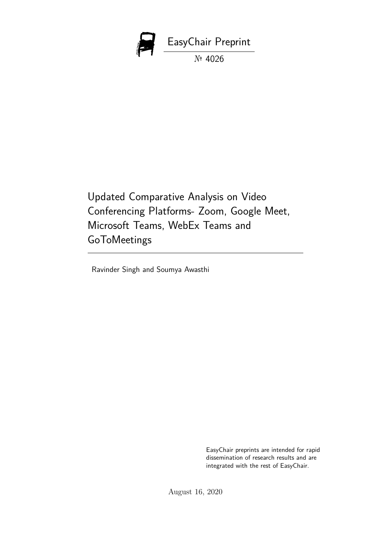

Updated Comparative Analysis on Video Conferencing Platforms- Zoom, Google Meet, Microsoft Teams, WebEx Teams and GoToMeetings

Ravinder Singh and Soumya Awasthi

EasyChair preprints are intended for rapid dissemination of research results and are integrated with the rest of EasyChair.

August 16, 2020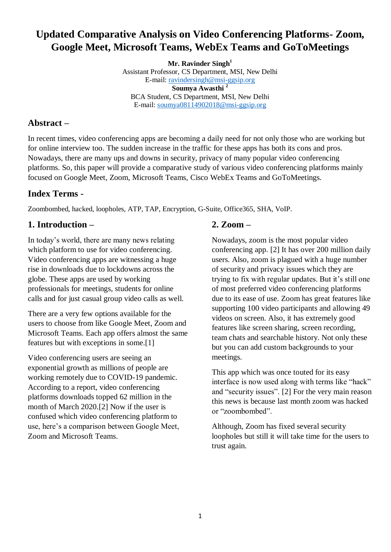# **Updated Comparative Analysis on Video Conferencing Platforms- Zoom, Google Meet, Microsoft Teams, WebEx Teams and GoToMeetings**

**Mr. Ravinder Singh<sup>1</sup>** Assistant Professor, CS Department, MSI, New Delhi E-mail: [ravindersingh@msi-ggsip.org](mailto:ravindersingh@msi-ggsip.org) **Soumya Awasthi <sup>2</sup>** BCA Student, CS Department, MSI, New Delhi E-mail: [soumya08114902018@msi-ggsip.org](mailto:soumya08114902018@msi-ggsip.org)

### **Abstract –**

In recent times, video conferencing apps are becoming a daily need for not only those who are working but for online interview too. The sudden increase in the traffic for these apps has both its cons and pros. Nowadays, there are many ups and downs in security, privacy of many popular video conferencing platforms. So, this paper will provide a comparative study of various video conferencing platforms mainly focused on Google Meet, Zoom, Microsoft Teams, Cisco WebEx Teams and GoToMeetings.

## **Index Terms -**

Zoombombed, hacked, loopholes, ATP, TAP, Encryption, G-Suite, Office365, SHA, VoIP.

# **1. Introduction –**

In today's world, there are many news relating which platform to use for video conferencing. Video conferencing apps are witnessing a huge rise in downloads due to lockdowns across the globe. These apps are used by working professionals for meetings, students for online calls and for just casual group video calls as well.

There are a very few options available for the users to choose from like Google Meet, Zoom and Microsoft Teams. Each app offers almost the same features but with exceptions in some.[1]

Video conferencing users are seeing an exponential growth as millions of people are working remotely due to COVID-19 pandemic. According to a report, video conferencing platforms downloads topped 62 million in the month of March 2020.[2] Now if the user is confused which video conferencing platform to use, here's a comparison between Google Meet, Zoom and Microsoft Teams.

# **2. Zoom –**

Nowadays, zoom is the most popular video conferencing app. [2] It has over 200 million daily users. Also, zoom is plagued with a huge number of security and privacy issues which they are trying to fix with regular updates. But it's still one of most preferred video conferencing platforms due to its ease of use. Zoom has great features like supporting 100 video participants and allowing 49 videos on screen. Also, it has extremely good features like screen sharing, screen recording, team chats and searchable history. Not only these but you can add custom backgrounds to your meetings.

This app which was once touted for its easy interface is now used along with terms like "hack" and "security issues". [2] For the very main reason this news is because last month zoom was hacked or "zoombombed".

Although, Zoom has fixed several security loopholes but still it will take time for the users to trust again.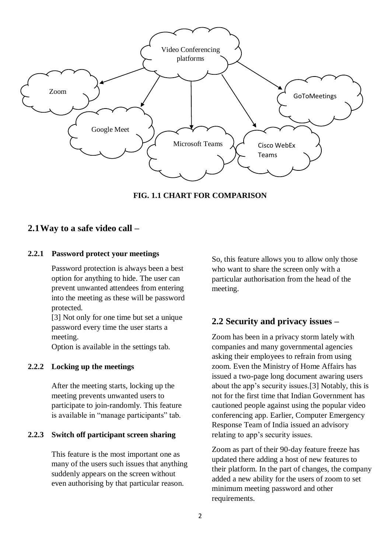

**FIG. 1.1 CHART FOR COMPARISON**

### **2.1Way to a safe video call –**

#### **2.2.1 Password protect your meetings**

Password protection is always been a best option for anything to hide. The user can prevent unwanted attendees from entering into the meeting as these will be password protected.

[3] Not only for one time but set a unique password every time the user starts a meeting.

Option is available in the settings tab.

#### **2.2.2 Locking up the meetings**

After the meeting starts, locking up the meeting prevents unwanted users to participate to join-randomly. This feature is available in "manage participants" tab.

### **2.2.3 Switch off participant screen sharing**

This feature is the most important one as many of the users such issues that anything suddenly appears on the screen without even authorising by that particular reason.

So, this feature allows you to allow only those who want to share the screen only with a particular authorisation from the head of the meeting.

## **2.2 Security and privacy issues –**

Zoom has been in a privacy storm lately with companies and many governmental agencies asking their employees to refrain from using zoom. Even the Ministry of Home Affairs has issued a two-page long document awaring users about the app's security issues.[3] Notably, this is not for the first time that Indian Government has cautioned people against using the popular video conferencing app. Earlier, Computer Emergency Response Team of India issued an advisory relating to app's security issues.

Zoom as part of their 90-day feature freeze has updated there adding a host of new features to their platform. In the part of changes, the company added a new ability for the users of zoom to set minimum meeting password and other requirements.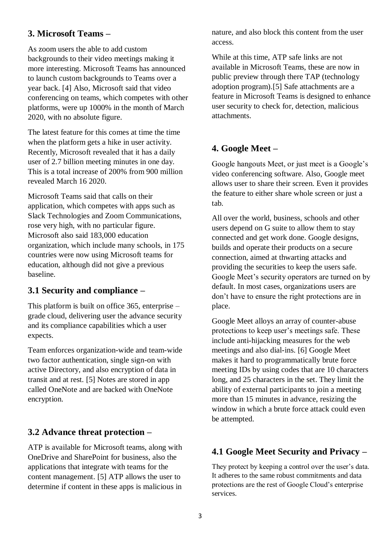## **3. Microsoft Teams –**

As zoom users the able to add custom backgrounds to their video meetings making it more interesting. Microsoft Teams has announced to launch custom backgrounds to Teams over a year back. [4] Also, Microsoft said that video conferencing on teams, which competes with other platforms, were up 1000% in the month of March 2020, with no absolute figure.

The latest feature for this comes at time the time when the platform gets a hike in user activity. Recently, Microsoft revealed that it has a daily user of 2.7 billion meeting minutes in one day. This is a total increase of 200% from 900 million revealed March 16 2020.

Microsoft Teams said that calls on their application, which competes with apps such as Slack Technologies and Zoom Communications, rose very high, with no particular figure. Microsoft also said 183,000 education organization, which include many schools, in 175 countries were now using Microsoft teams for education, although did not give a previous baseline.

## **3.1 Security and compliance –**

This platform is built on office 365, enterprise – grade cloud, delivering user the advance security and its compliance capabilities which a user expects.

Team enforces organization-wide and team-wide two factor authentication, single sign-on with active Directory, and also encryption of data in transit and at rest. [5] Notes are stored in app called OneNote and are backed with OneNote encryption.

## **3.2 Advance threat protection –**

ATP is available for Microsoft teams, along with OneDrive and SharePoint for business, also the applications that integrate with teams for the content management. [5] ATP allows the user to determine if content in these apps is malicious in

nature, and also block this content from the user access.

While at this time, ATP safe links are not available in Microsoft Teams, these are now in public preview through there TAP (technology adoption program).[5] Safe attachments are a feature in Microsoft Teams is designed to enhance user security to check for, detection, malicious attachments.

## **4. Google Meet –**

Google hangouts Meet, or just meet is a Google's video conferencing software. Also, Google meet allows user to share their screen. Even it provides the feature to either share whole screen or just a tab.

All over the world, business, schools and other users depend on G suite to allow them to stay connected and get work done. Google designs, builds and operate their products on a secure connection, aimed at thwarting attacks and providing the securities to keep the users safe. Google Meet's security operators are turned on by default. In most cases, organizations users are don't have to ensure the right protections are in place.

Google Meet alloys an array of counter-abuse protections to keep user's meetings safe. These include anti-hijacking measures for the web meetings and also dial-ins. [6] Google Meet makes it hard to programmatically brute force meeting IDs by using codes that are 10 characters long, and 25 characters in the set. They limit the ability of external participants to join a meeting more than 15 minutes in advance, resizing the window in which a brute force attack could even be attempted.

## **4.1 Google Meet Security and Privacy –**

They protect by keeping a control over the user's data. It adheres to the same robust commitments and data protections are the rest of Google Cloud's enterprise services.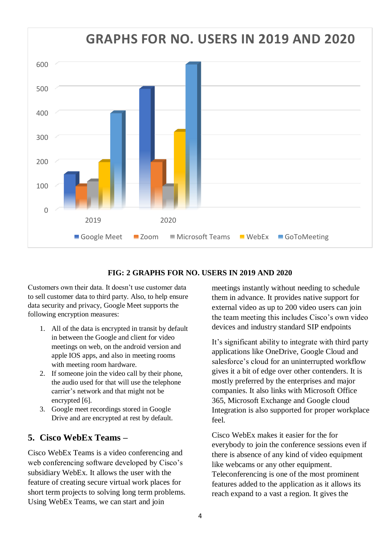

### **FIG: 2 GRAPHS FOR NO. USERS IN 2019 AND 2020**

Customers own their data. It doesn't use customer data to sell customer data to third party. Also, to help ensure data security and privacy, Google Meet supports the following encryption measures:

- 1. All of the data is encrypted in transit by default in between the Google and client for video meetings on web, on the android version and apple IOS apps, and also in meeting rooms with meeting room hardware.
- 2. If someone join the video call by their phone, the audio used for that will use the telephone carrier's network and that might not be encrypted [6].
- 3. Google meet recordings stored in Google Drive and are encrypted at rest by default.

### **5. Cisco WebEx Teams –**

Cisco WebEx Teams is a video conferencing and web conferencing software developed by Cisco's subsidiary WebEx. It allows the user with the feature of creating secure virtual work places for short term projects to solving long term problems. Using WebEx Teams, we can start and join

meetings instantly without needing to schedule them in advance. It provides native support for external video as up to 200 video users can join the team meeting this includes Cisco's own video devices and industry standard SIP endpoints

It's significant ability to integrate with third party applications like OneDrive, Google Cloud and salesforce's cloud for an uninterrupted workflow gives it a bit of edge over other contenders. It is mostly preferred by the enterprises and major companies. It also links with Microsoft Office 365, Microsoft Exchange and Google cloud Integration is also supported for proper workplace feel.

Cisco WebEx makes it easier for the for everybody to join the conference sessions even if there is absence of any kind of video equipment like webcams or any other equipment. Teleconferencing is one of the most prominent features added to the application as it allows its reach expand to a vast a region. It gives the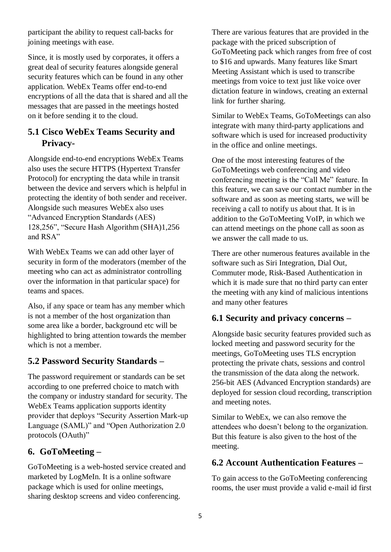participant the ability to request call-backs for joining meetings with ease.

Since, it is mostly used by corporates, it offers a great deal of security features alongside general security features which can be found in any other application. WebEx Teams offer end-to-end encryptions of all the data that is shared and all the messages that are passed in the meetings hosted on it before sending it to the cloud.

# **5.1 Cisco WebEx Teams Security and Privacy-**

Alongside end-to-end encryptions WebEx Teams also uses the secure HTTPS (Hypertext Transfer Protocol) for encrypting the data while in transit between the device and servers which is helpful in protecting the identity of both sender and receiver. Alongside such measures WebEx also uses "Advanced Encryption Standards (AES) 128,256", "Secure Hash Algorithm (SHA)1,256 and RSA"

With WebEx Teams we can add other layer of security in form of the moderators (member of the meeting who can act as administrator controlling over the information in that particular space) for teams and spaces.

Also, if any space or team has any member which is not a member of the host organization than some area like a border, background etc will be highlighted to bring attention towards the member which is not a member.

# **5.2 Password Security Standards –**

The password requirement or standards can be set according to one preferred choice to match with the company or industry standard for security. The WebEx Teams application supports identity provider that deploys "Security Assertion Mark-up Language (SAML)" and "Open Authorization 2.0 protocols (OAuth)"

## **6. GoToMeeting –**

GoToMeeting is a web-hosted service created and marketed by LogMeIn. It is a online software package which is used for online meetings, sharing desktop screens and video conferencing.

There are various features that are provided in the package with the priced subscription of GoToMeeting pack which ranges from free of cost to \$16 and upwards. Many features like Smart Meeting Assistant which is used to transcribe meetings from voice to text just like voice over dictation feature in windows, creating an external link for further sharing.

Similar to WebEx Teams, GoToMeetings can also integrate with many third-party applications and software which is used for increased productivity in the office and online meetings.

One of the most interesting features of the GoToMeetings web conferencing and video conferencing meeting is the "Call Me" feature. In this feature, we can save our contact number in the software and as soon as meeting starts, we will be receiving a call to notify us about that. It is in addition to the GoToMeeting VoIP, in which we can attend meetings on the phone call as soon as we answer the call made to us.

There are other numerous features available in the software such as Siri Integration, Dial Out, Commuter mode, Risk-Based Authentication in which it is made sure that no third party can enter the meeting with any kind of malicious intentions and many other features

## **6.1 Security and privacy concerns –**

Alongside basic security features provided such as locked meeting and password security for the meetings, GoToMeeting uses TLS encryption protecting the private chats, sessions and control the transmission of the data along the network. 256-bit AES (Advanced Encryption standards) are deployed for session cloud recording, transcription and meeting notes.

Similar to WebEx, we can also remove the attendees who doesn't belong to the organization. But this feature is also given to the host of the meeting.

### **6.2 Account Authentication Features –**

To gain access to the GoToMeeting conferencing rooms, the user must provide a valid e-mail id first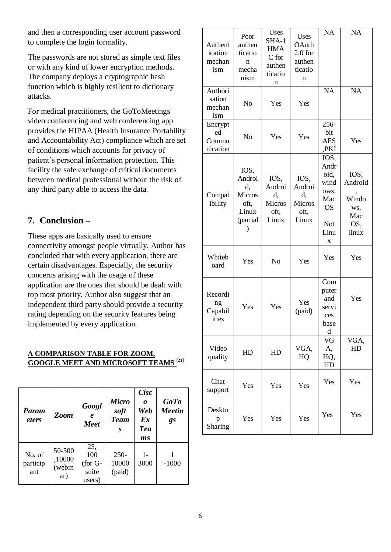and then a corresponding user account password to complete the login formality.

The passwords are not stored as simple text files or with any kind of lower encryption methods. The company deploys a cryptographic hash function which is highly resilient to dictionary attacks.

For medical practitioners, the GoToMeetings video conferencing and web conferencing app provides the HIPAA (Health Insurance Portability and Accountability Act) compliance which are set of conditions which accounts for privacy of patient's personal information protection. This facility the safe exchange of critical documents between medical professional without the risk of any third party able to access the data.

## **7. Conclusion –**

These apps are basically used to ensure connectivity amongst people virtually. Author has concluded that with every application, there are certain disadvantages. Especially, the security concerns arising with the usage of these application are the ones that should be dealt with top most priority. Author also suggest that an independent third party should provide a security rating depending on the security features being implemented by every application.

### **A COMPARISON TABLE FOR ZOOM, GOOGLE MEET AND MICROSOFT TEAMS [21]**

| Param<br><i>eters</i>     | Zoom                              | Googl<br>$\boldsymbol{e}$<br><b>Meet</b>    | <b>Micro</b><br>soft<br><b>Team</b><br>S | <b>Cisc</b><br>0<br>Web<br>$\mathbf{E} \mathbf{x}$<br><b>Tea</b><br>ms | <b>GoTo</b><br><b>Meetin</b><br>gs |
|---------------------------|-----------------------------------|---------------------------------------------|------------------------------------------|------------------------------------------------------------------------|------------------------------------|
| No. of<br>particip<br>ant | 50-500<br>,10000<br>(webin<br>ar) | 25,<br>100<br>$($ for G-<br>suite<br>users) | $250 -$<br>10000<br>(paid)               | $1 -$<br>3000                                                          | $-1000$                            |

| Authent<br>ication<br>mechan<br>ism | Poor<br>authen<br>ticatio<br>n<br>mecha<br>nism                                 | <b>Uses</b><br>SHA-1<br><b>HMA</b><br>C for<br>authen<br>ticatio<br>n | Uses<br>OAuth<br>2.0 for<br>authen<br>ticatio<br>n     | <b>NA</b>                                                                    | <b>NA</b>                                              |
|-------------------------------------|---------------------------------------------------------------------------------|-----------------------------------------------------------------------|--------------------------------------------------------|------------------------------------------------------------------------------|--------------------------------------------------------|
| Authori<br>sation<br>mechan<br>ism  | No                                                                              | Yes                                                                   | Yes                                                    | <b>NA</b>                                                                    | <b>NA</b>                                              |
| Encrypt<br>ed<br>Commu<br>nication  | No                                                                              | Yes                                                                   | Yes                                                    | 256-<br>bit<br><b>AES</b><br>,PKI                                            | Yes                                                    |
| Compat<br>ibility                   | IOS,<br>Androi<br>d,<br><b>Micros</b><br>oft,<br>Linux<br>(partial<br>$\lambda$ | IOS,<br>Androi<br>d,<br>Micros<br>oft,<br>Linux                       | IOS,<br>Androi<br>d,<br><b>Micros</b><br>oft,<br>Linux | IOS,<br>Andr<br>oid,<br>wind<br>ows,<br>Mac<br><b>OS</b><br>Not<br>Linu<br>X | IOS,<br>Android<br>Windo<br>WS,<br>Mac<br>OS,<br>linux |
| Whiteb<br>oard                      | Yes                                                                             | N <sub>o</sub>                                                        | Yes                                                    | Yes                                                                          | Yes                                                    |
| Recordi<br>ng<br>Capabil<br>ities   | Yes                                                                             | Yes                                                                   | Yes<br>(paid)                                          | Com<br>puter<br>and<br>servi<br>ces<br>base<br>d                             | Yes                                                    |
| Video<br>quality                    | HD                                                                              | HD                                                                    | VGA,<br>HQ                                             | VG<br>A,<br>HQ,<br>HD                                                        | VGA,<br>HD                                             |
| Chat<br>support                     | Yes                                                                             | Yes                                                                   | Yes                                                    | Yes                                                                          | Yes                                                    |
| Deskto<br>p<br>Sharing              | Yes                                                                             | Yes                                                                   | Yes                                                    | Yes                                                                          | Yes                                                    |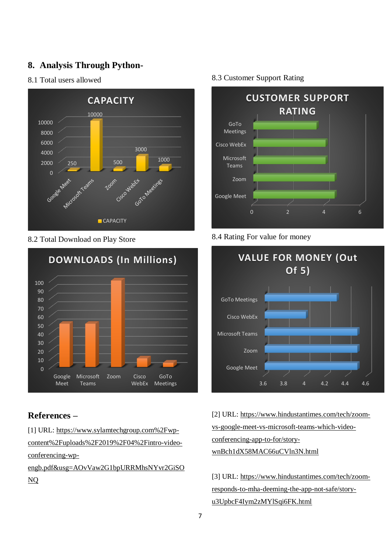## **8. Analysis Through Python-**

### 8.1 Total users allowed



8.2 Total Download on Play Store



## **References –**

[1] URL: https://www.sylamtechgroup.com%2Fwpcontent%2Fuploads%2F2019%2F04%2Fintro-videoconferencing-wp-

engb.pdf&usg=AOvVaw2G1bpURRMhsNYvr2GiSO NQ

### 8.3 Customer Support Rating



### 8.4 Rating For value for money



[2] URL: [https://www.hindustantimes.com/tech/zoom](https://www.hindustantimes.com/tech/zoom-vs-google-meet-vs-microsoft-teams-which-video-conferencing-app-to-for/story-wnBch1dX58MAC66uCVln3N.html)[vs-google-meet-vs-microsoft-teams-which-video](https://www.hindustantimes.com/tech/zoom-vs-google-meet-vs-microsoft-teams-which-video-conferencing-app-to-for/story-wnBch1dX58MAC66uCVln3N.html)[conferencing-app-to-for/story](https://www.hindustantimes.com/tech/zoom-vs-google-meet-vs-microsoft-teams-which-video-conferencing-app-to-for/story-wnBch1dX58MAC66uCVln3N.html)[wnBch1dX58MAC66uCVln3N.html](https://www.hindustantimes.com/tech/zoom-vs-google-meet-vs-microsoft-teams-which-video-conferencing-app-to-for/story-wnBch1dX58MAC66uCVln3N.html)

[3] URL: [https://www.hindustantimes.com/tech/zoom](https://www.hindustantimes.com/tech/zoom-responds-to-mha-deeming-the-app-not-safe/story-u3UpbcF4Iym2zMYlSqi6FK.html)[responds-to-mha-deeming-the-app-not-safe/story](https://www.hindustantimes.com/tech/zoom-responds-to-mha-deeming-the-app-not-safe/story-u3UpbcF4Iym2zMYlSqi6FK.html)[u3UpbcF4Iym2zMYlSqi6FK.html](https://www.hindustantimes.com/tech/zoom-responds-to-mha-deeming-the-app-not-safe/story-u3UpbcF4Iym2zMYlSqi6FK.html)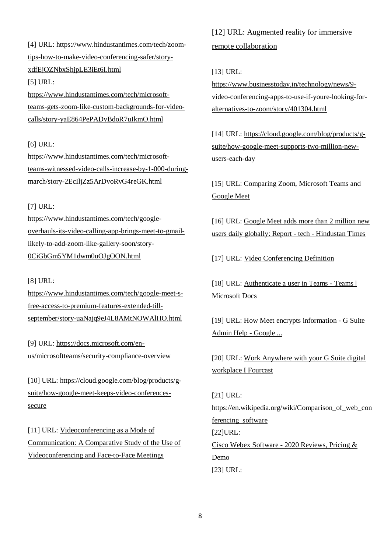[4] URL: [https://www.hindustantimes.com/tech/zoom](https://www.hindustantimes.com/tech/zoom-tips-how-to-make-video-conferencing-safer/story-xdfEjOZNbxShjpLE3iEt6I.html)[tips-how-to-make-video-conferencing-safer/story](https://www.hindustantimes.com/tech/zoom-tips-how-to-make-video-conferencing-safer/story-xdfEjOZNbxShjpLE3iEt6I.html)[xdfEjOZNbxShjpLE3iEt6I.html](https://www.hindustantimes.com/tech/zoom-tips-how-to-make-video-conferencing-safer/story-xdfEjOZNbxShjpLE3iEt6I.html) [5] URL:

[https://www.hindustantimes.com/tech/microsoft](https://www.hindustantimes.com/tech/microsoft-teams-gets-zoom-like-custom-backgrounds-for-video-calls/story-yaE864PePADvBdoR7uIkmO.html)[teams-gets-zoom-like-custom-backgrounds-for-video](https://www.hindustantimes.com/tech/microsoft-teams-gets-zoom-like-custom-backgrounds-for-video-calls/story-yaE864PePADvBdoR7uIkmO.html)[calls/story-yaE864PePADvBdoR7uIkmO.html](https://www.hindustantimes.com/tech/microsoft-teams-gets-zoom-like-custom-backgrounds-for-video-calls/story-yaE864PePADvBdoR7uIkmO.html)

#### [6] URL:

[https://www.hindustantimes.com/tech/microsoft](https://www.hindustantimes.com/tech/microsoft-teams-witnessed-video-calls-increase-by-1-000-during-march/story-2EcIljZz5ArDvoRvG4reGK.html)[teams-witnessed-video-calls-increase-by-1-000-during](https://www.hindustantimes.com/tech/microsoft-teams-witnessed-video-calls-increase-by-1-000-during-march/story-2EcIljZz5ArDvoRvG4reGK.html)[march/story-2EcIljZz5ArDvoRvG4reGK.html](https://www.hindustantimes.com/tech/microsoft-teams-witnessed-video-calls-increase-by-1-000-during-march/story-2EcIljZz5ArDvoRvG4reGK.html)

#### [7] URL:

[https://www.hindustantimes.com/tech/google](https://www.hindustantimes.com/tech/google-overhauls-its-video-calling-app-brings-meet-to-gmail-likely-to-add-zoom-like-gallery-soon/story-0CiGbGm5YM1dwm0uOJgOON.html)[overhauls-its-video-calling-app-brings-meet-to-gmail](https://www.hindustantimes.com/tech/google-overhauls-its-video-calling-app-brings-meet-to-gmail-likely-to-add-zoom-like-gallery-soon/story-0CiGbGm5YM1dwm0uOJgOON.html)[likely-to-add-zoom-like-gallery-soon/story-](https://www.hindustantimes.com/tech/google-overhauls-its-video-calling-app-brings-meet-to-gmail-likely-to-add-zoom-like-gallery-soon/story-0CiGbGm5YM1dwm0uOJgOON.html)[0CiGbGm5YM1dwm0uOJgOON.html](https://www.hindustantimes.com/tech/google-overhauls-its-video-calling-app-brings-meet-to-gmail-likely-to-add-zoom-like-gallery-soon/story-0CiGbGm5YM1dwm0uOJgOON.html)

#### [8] URL:

[https://www.hindustantimes.com/tech/google-meet-s](https://www.hindustantimes.com/tech/google-meet-s-free-access-to-premium-features-extended-till-september/story-uaNajq9eJ4L8AMtNOWAlHO.html)[free-access-to-premium-features-extended-till](https://www.hindustantimes.com/tech/google-meet-s-free-access-to-premium-features-extended-till-september/story-uaNajq9eJ4L8AMtNOWAlHO.html)[september/story-uaNajq9eJ4L8AMtNOWAlHO.html](https://www.hindustantimes.com/tech/google-meet-s-free-access-to-premium-features-extended-till-september/story-uaNajq9eJ4L8AMtNOWAlHO.html)

[9] URL: [https://docs.microsoft.com/en](https://docs.microsoft.com/en-us/microsoftteams/security-compliance-overview)[us/microsoftteams/security-compliance-overview](https://docs.microsoft.com/en-us/microsoftteams/security-compliance-overview)

[10] URL: [https://cloud.google.com/blog/products/g](https://cloud.google.com/blog/products/g-suite/how-google-meet-keeps-video-conferences-secure)[suite/how-google-meet-keeps-video-conferences](https://cloud.google.com/blog/products/g-suite/how-google-meet-keeps-video-conferences-secure)[secure](https://cloud.google.com/blog/products/g-suite/how-google-meet-keeps-video-conferences-secure)

[11] URL: Videoconferencing as a Mode of Communication: A Comparative Study of the Use of Videoconferencing and Face-to-Face Meetings

[12] URL: Augmented reality for immersive remote collaboration

#### [13] URL:

[https://www.businesstoday.in/technology/news/9](https://www.businesstoday.in/technology/news/9-video-conferencing-apps-to-use-if-youre-looking-for-alternatives-to-zoom/story/401304.html) [video-conferencing-apps-to-use-if-youre-looking-for](https://www.businesstoday.in/technology/news/9-video-conferencing-apps-to-use-if-youre-looking-for-alternatives-to-zoom/story/401304.html)[alternatives-to-zoom/story/401304.html](https://www.businesstoday.in/technology/news/9-video-conferencing-apps-to-use-if-youre-looking-for-alternatives-to-zoom/story/401304.html)

[14] URL: [https://cloud.google.com/blog/products/g](https://cloud.google.com/blog/products/g-suite/how-google-meet-supports-two-million-new-users-each-day)[suite/how-google-meet-supports-two-million-new](https://cloud.google.com/blog/products/g-suite/how-google-meet-supports-two-million-new-users-each-day)[users-each-day](https://cloud.google.com/blog/products/g-suite/how-google-meet-supports-two-million-new-users-each-day)

[15] URL: [Comparing Zoom, Microsoft Teams and](https://www.fourcast.io/blog/comparing-zoom-microsoft-teams-and-google-meet)  [Google Meet](https://www.fourcast.io/blog/comparing-zoom-microsoft-teams-and-google-meet)

[16] URL: [Google Meet adds more than 2 million new](https://www.hindustantimes.com/tech/google-meet-adds-more-than-2-million-new-users-daily-globally-report/story-KYFkAe06bdcP4V1lqt7dpN.html)  [users daily globally: Report -](https://www.hindustantimes.com/tech/google-meet-adds-more-than-2-million-new-users-daily-globally-report/story-KYFkAe06bdcP4V1lqt7dpN.html) tech - Hindustan Times

[17] URL: [Video Conferencing Definition](https://www.investopedia.com/terms/v/video-conferencing.asp)

[18] URL: [Authenticate a user in Teams -](https://docs.microsoft.com/en-us/microsoftteams/platform/concepts/authentication/authentication) Teams | [Microsoft Docs](https://docs.microsoft.com/en-us/microsoftteams/platform/concepts/authentication/authentication)

[19] URL: [How Meet encrypts information -](https://www.google.com/url?sa=t&rct=j&q=&esrc=s&source=web&cd=2&cad=rja&uact=8&ved=2ahUKEwiQr-_s_4DpAhV46XMBHR34AZ8QFjABegQIDBAD&url=https%3A%2F%2Fsupport.google.com%2Fa%2Fanswer%2F7582940%3Fhl%3Den&usg=AOvVaw2tCosGoQTd5i0PQ6bagZMk) G Suite [Admin Help -](https://www.google.com/url?sa=t&rct=j&q=&esrc=s&source=web&cd=2&cad=rja&uact=8&ved=2ahUKEwiQr-_s_4DpAhV46XMBHR34AZ8QFjABegQIDBAD&url=https%3A%2F%2Fsupport.google.com%2Fa%2Fanswer%2F7582940%3Fhl%3Den&usg=AOvVaw2tCosGoQTd5i0PQ6bagZMk) Google ...

[20] URL: [Work Anywhere with your G Suite digital](https://www.fourcast.io/work-anywhere?hsCtaTracking=dffb1bbf-c377-47d0-9696-d4551115a21d%7C70dbbf85-49a3-4712-896e-1c5b54b89ad9)  [workplace I Fourcast](https://www.fourcast.io/work-anywhere?hsCtaTracking=dffb1bbf-c377-47d0-9696-d4551115a21d%7C70dbbf85-49a3-4712-896e-1c5b54b89ad9)

[21] URL: https://en.wikipedia.org/wiki/Comparison\_of\_web\_con ferencing\_software [22]URL: Cisco Webex Software - [2020 Reviews, Pricing &](https://www.softwareadvice.com/webinar/cisco-webex-profile/)  [Demo](https://www.softwareadvice.com/webinar/cisco-webex-profile/) [23] URL: